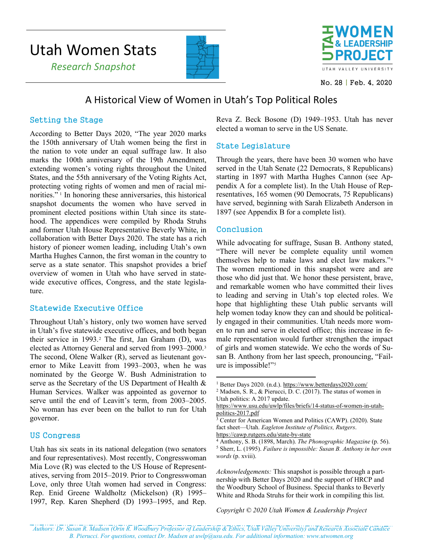# Utah Women Stats





No. 28 | Feb. 4, 2020

## A Historical View of Women in Utah's Top Political Roles

#### Setting the Stage

According to Better Days 2020, "The year 2020 marks the 150th anniversary of Utah women being the first in the nation to vote under an equal suffrage law. It also marks the 100th anniversary of the 19th Amendment, extending women's voting rights throughout the United States, and the 55th anniversary of the Voting Rights Act, protecting voting rights of women and men of racial minorities." [1](#page-0-0) In honoring these anniversaries, this historical snapshot documents the women who have served in prominent elected positions within Utah since its statehood. The appendices were compiled by Rhoda Struhs and former Utah House Representative Beverly White, in collaboration with Better Days 2020. The state has a rich history of pioneer women leading, including Utah's own Martha Hughes Cannon, the first woman in the country to serve as a state senator. This snapshot provides a brief overview of women in Utah who have served in statewide executive offices, Congress, and the state legislature.

#### Statewide Executive Office

Throughout Utah's history, only two women have served in Utah's five statewide executive offices, and both began their service in 1993.[2](#page-0-1) The first, Jan Graham (D), was elected as Attorney General and served from 1993–2000.[3](#page-0-2) The second, Olene Walker (R), served as lieutenant governor to Mike Leavitt from 1993–2003, when he was nominated by the George W. Bush Administration to serve as the Secretary of the US Department of Health & Human Services. Walker was appointed as governor to serve until the end of Leavitt's term, from 2003–2005. No woman has ever been on the ballot to run for Utah governor.

#### <span id="page-0-3"></span><span id="page-0-2"></span><span id="page-0-1"></span><span id="page-0-0"></span>US Congress

<span id="page-0-4"></span>Utah has six seats in its national delegation (two senators and four representatives). Most recently, Congresswoman Mia Love (R) was elected to the US House of Representatives, serving from 2015–2019. Prior to Congresswoman Love, only three Utah women had served in Congress: Rep. Enid Greene Waldholtz (Mickelson) (R) 1995– 1997, Rep. Karen Shepherd (D) 1993–1995, and Rep. Reva Z. Beck Bosone (D) 1949–1953. Utah has never elected a woman to serve in the US Senate.

#### State Legislature

Through the years, there have been 30 women who have served in the Utah Senate (22 Democrats, 8 Republicans) starting in 1897 with Martha Hughes Cannon (see Appendix A for a complete list). In the Utah House of Representatives, 165 women (90 Democrats, 75 Republicans) have served, beginning with Sarah Elizabeth Anderson in 1897 (see Appendix B for a complete list).

#### Conclusion

While advocating for suffrage, Susan B. Anthony stated, "There will never be complete equality until women themselves help to make laws and elect law makers."[4](#page-0-3) The women mentioned in this snapshot were and are those who did just that. We honor these persistent, brave, and remarkable women who have committed their lives to leading and serving in Utah's top elected roles. We hope that highlighting these Utah public servants will help women today know they can and should be politically engaged in their communities. Utah needs more women to run and serve in elected office; this increase in female representation would further strengthen the impact of girls and women statewide. We echo the words of Susan B. Anthony from her last speech, pronouncing, "Failure is impossible!"[5](#page-0-4)

<https://cawp.rutgers.edu/state-by-state>

*Acknowledgements:* This snapshot is possible through a partnership with Better Days 2020 and the support of HRCP and the Woodbury School of Business. Special thanks to Beverly White and Rhoda Struhs for their work in compiling this list.

*Copyright © 2020 Utah Women & Leadership Project*

<sup>1</sup> Better Days 2020. (n.d.).<https://www.betterdays2020.com/>

<sup>2</sup> Madsen, S. R., & Pierucci, D. C. (2017). The status of women in Utah politics: A 2017 update.

[https://www.usu.edu/uwlp/files/briefs/14-status-of-women-in-utah](https://www.usu.edu/uwlp/files/briefs/14-status-of-women-in-utah-politics-2017.pdf)[politics-2017.pdf](https://www.usu.edu/uwlp/files/briefs/14-status-of-women-in-utah-politics-2017.pdf)

<sup>&</sup>lt;sup>3</sup> Center for American Women and Politics (CAWP). (2020). State fact sheet—Utah. *Eagleton Institute of Politics, Rutgers*.

<sup>4</sup> Anthony, S. B. (1898, March). *The Phonographic Magazine* (p. 56). <sup>5</sup> Sherr, L. (1995). *Failure is impossible: Susan B. Anthony in her own words* (p. xviii).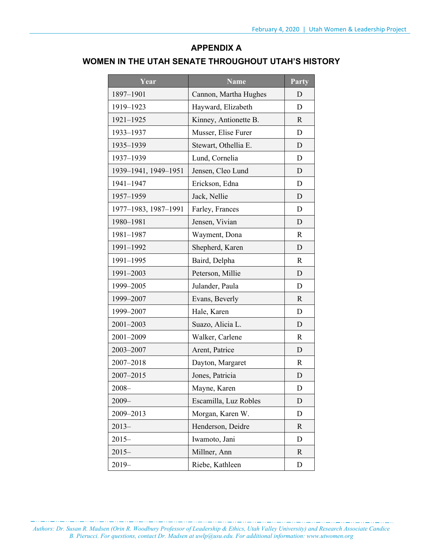## **APPENDIX A**

### **WOMEN IN THE UTAH SENATE THROUGHOUT UTAH'S HISTORY**

| Year                 | <b>Name</b>           | Party        |
|----------------------|-----------------------|--------------|
| 1897-1901            | Cannon, Martha Hughes | D            |
| 1919-1923            | Hayward, Elizabeth    | D            |
| 1921-1925            | Kinney, Antionette B. | R            |
| 1933-1937            | Musser, Elise Furer   | D            |
| 1935-1939            | Stewart, Othellia E.  | D            |
| 1937-1939            | Lund, Cornelia        | D            |
| 1939-1941, 1949-1951 | Jensen, Cleo Lund     | D            |
| 1941-1947            | Erickson, Edna        | D            |
| 1957-1959            | Jack, Nellie          | D            |
| 1977-1983, 1987-1991 | Farley, Frances       | D            |
| 1980-1981            | Jensen, Vivian        | D            |
| 1981-1987            | Wayment, Dona         | $\mathbf R$  |
| 1991-1992            | Shepherd, Karen       | D            |
| 1991-1995            | Baird, Delpha         | R            |
| 1991-2003            | Peterson, Millie      | D            |
| 1999-2005            | Julander, Paula       | D            |
| 1999-2007            | Evans, Beverly        | $\mathbf R$  |
| 1999-2007            | Hale, Karen           | D            |
| 2001-2003            | Suazo, Alicia L.      | D            |
| 2001-2009            | Walker, Carlene       | $\mathbb{R}$ |
| 2003-2007            | Arent, Patrice        | D            |
| 2007-2018            | Dayton, Margaret      | $\mathbf R$  |
| 2007-2015            | Jones, Patricia       | D            |
| $2008 -$             | Mayne, Karen          | D            |
| $2009 -$             | Escamilla, Luz Robles | D            |
| 2009-2013            | Morgan, Karen W.      | D            |
| $2013-$              | Henderson, Deidre     | R            |
| $2015 -$             | Iwamoto, Jani         | D            |
| $2015 -$             | Millner, Ann          | $\mathbf{R}$ |
| $2019-$              | Riebe, Kathleen       | D            |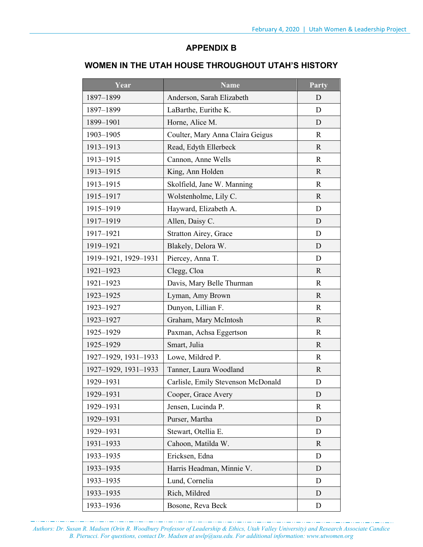## **APPENDIX B**

#### **WOMEN IN THE UTAH HOUSE THROUGHOUT UTAH'S HISTORY**

| Year                 | <b>Name</b>                        | Party        |
|----------------------|------------------------------------|--------------|
| 1897-1899            | Anderson, Sarah Elizabeth          | D            |
| 1897-1899            | LaBarthe, Eurithe K.               | D            |
| 1899-1901            | Horne, Alice M.                    | D            |
| 1903-1905            | Coulter, Mary Anna Claira Geigus   | $\mathbf R$  |
| 1913-1913            | Read, Edyth Ellerbeck              | $\mathbf{R}$ |
| 1913-1915            | Cannon, Anne Wells                 | $\mathbf R$  |
| 1913-1915            | King, Ann Holden                   | $\mathbf R$  |
| 1913-1915            | Skolfield, Jane W. Manning         | $\mathbf R$  |
| 1915-1917            | Wolstenholme, Lily C.              | $\mathbf R$  |
| 1915-1919            | Hayward, Elizabeth A.              | D            |
| 1917-1919            | Allen, Daisy C.                    | D            |
| 1917-1921            | <b>Stratton Airey, Grace</b>       | D            |
| 1919-1921            | Blakely, Delora W.                 | D            |
| 1919-1921, 1929-1931 | Piercey, Anna T.                   | D            |
| $1921 - 1923$        | Clegg, Cloa                        | R            |
| $1921 - 1923$        | Davis, Mary Belle Thurman          | $\mathbf R$  |
| 1923-1925            | Lyman, Amy Brown                   | R            |
| 1923-1927            | Dunyon, Lillian F.                 | R            |
| 1923-1927            | Graham, Mary McIntosh              | R            |
| 1925-1929            | Paxman, Achsa Eggertson            | R            |
| 1925-1929            | Smart, Julia                       | $\mathbf{R}$ |
| 1927-1929, 1931-1933 | Lowe, Mildred P.                   | R            |
| 1927-1929, 1931-1933 | Tanner, Laura Woodland             | $\mathbf{R}$ |
| 1929-1931            | Carlisle, Emily Stevenson McDonald | D            |
| 1929-1931            | Cooper, Grace Avery                | D            |
| 1929-1931            | Jensen, Lucinda P.                 | R            |
| 1929-1931            | Purser, Martha                     | D            |
| 1929-1931            | Stewart, Otellia E.                | D            |
| $1931 - 1933$        | Cahoon, Matilda W.                 | R            |
| 1933-1935            | Ericksen, Edna                     | D            |
| 1933-1935            | Harris Headman, Minnie V.          | D            |
| 1933-1935            | Lund, Cornelia                     | D            |
| 1933-1935            | Rich, Mildred                      | D            |
| 1933-1936            | Bosone, Reva Beck                  | D            |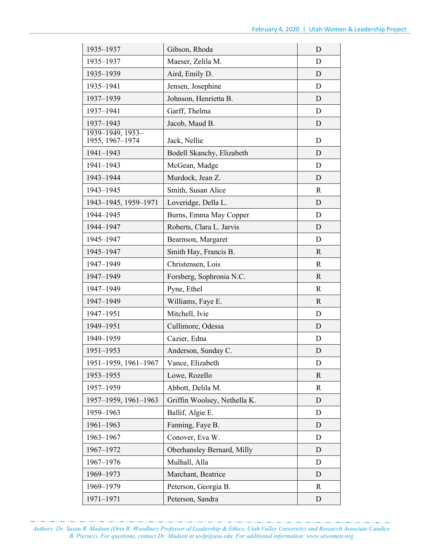| 1935-1937                           | Gibson, Rhoda                | D            |
|-------------------------------------|------------------------------|--------------|
| 1935-1937                           | Maeser, Zelila M.            | D            |
| 1935-1939                           | Aird, Emily D.               | D            |
| 1935-1941                           | Jensen, Josephine            | D            |
| 1937-1939                           | Johnson, Henrietta B.        | D            |
| 1937-1941                           | Garff, Thelma                | D            |
| 1937-1943                           | Jacob, Maud B.               | D            |
| 1939-1949, 1953-<br>1955, 1967-1974 | Jack, Nellie                 | D            |
| 1941-1943                           | Bodell Skanchy, Elizabeth    | D            |
| 1941-1943                           | McGean, Madge                | D            |
| 1943-1944                           | Murdock, Jean Z.             | D            |
| 1943-1945                           | Smith, Susan Alice           | $\mathbf R$  |
| 1943-1945, 1959-1971                | Loveridge, Della L.          | D            |
| 1944-1945                           | Burns, Emma May Copper       | D            |
| 1944-1947                           | Roberts, Clara L. Jarvis     | D            |
| 1945-1947                           | Bearnson, Margaret           | D            |
| 1945-1947                           | Smith Hay, Francis B.        | R            |
| 1947-1949                           | Christensen, Lois            | $\mathbf R$  |
| 1947-1949                           | Forsberg, Sophronia N.C.     | $\mathbf{R}$ |
| 1947-1949                           | Pyne, Ethel                  | $\mathbf R$  |
| 1947-1949                           | Williams, Faye E.            | $\mathbf{R}$ |
| 1947-1951                           | Mitchell, Ivie               | D            |
| 1949-1951                           | Cullimore, Odessa            | D            |
| 1949-1959                           | Cazier, Edna                 | D            |
| $1951 - 1953$                       | Anderson, Sunday C.          | D            |
| 1951-1959, 1961-1967                | Vance, Elizabeth             | D            |
| 1953-1955                           | Lowe, Rozello                | $\mathbf{R}$ |
| 1957-1959                           | Abbott, Delila M.            | R            |
| 1957-1959, 1961-1963                | Griffin Woolsey, Nethella K. | D            |
| 1959-1963                           | Ballif, Algie E.             | D            |
| 1961-1963                           | Fanning, Faye B.             | D            |
| 1963-1967                           | Conover, Eva W.              | D            |
| 1967-1972                           | Oberhansley Bernard, Milly   | D            |
| 1967-1976                           | Mulhall, Alla                | D            |
| 1969-1973                           | Marchant, Beatrice           | D            |
| 1969-1979                           | Peterson, Georgia B.         | R            |
| 1971-1971                           | Peterson, Sandra             | D            |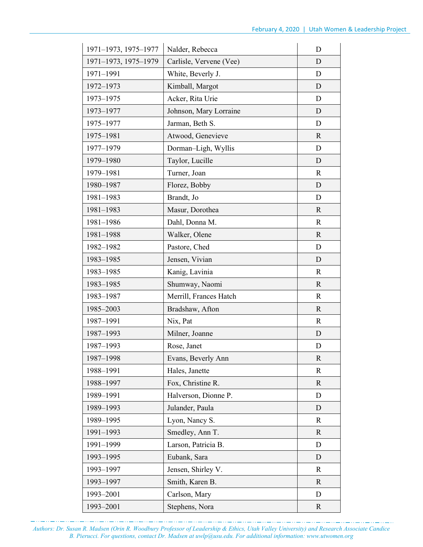| 1971-1973, 1975-1977 | Nalder, Rebecca         | D            |
|----------------------|-------------------------|--------------|
| 1971-1973, 1975-1979 | Carlisle, Vervene (Vee) | D            |
| 1971-1991            | White, Beverly J.       | D            |
| 1972-1973            | Kimball, Margot         | D            |
| 1973-1975            | Acker, Rita Urie        | D            |
| 1973-1977            | Johnson, Mary Lorraine  | D            |
| 1975-1977            | Jarman, Beth S.         | D            |
| 1975-1981            | Atwood, Genevieve       | $\mathbf R$  |
| 1977-1979            | Dorman-Ligh, Wyllis     | D            |
| 1979-1980            | Taylor, Lucille         | D            |
| 1979-1981            | Turner, Joan            | $\mathbb{R}$ |
| 1980-1987            | Florez, Bobby           | D            |
| 1981-1983            | Brandt, Jo              | D            |
| 1981-1983            | Masur, Dorothea         | $\mathbf R$  |
| 1981-1986            | Dahl, Donna M.          | $\mathbf R$  |
| 1981-1988            | Walker, Olene           | $\mathbf R$  |
| 1982-1982            | Pastore, Ched           | D            |
| 1983-1985            | Jensen, Vivian          | D            |
| 1983-1985            | Kanig, Lavinia          | $\mathbf R$  |
| 1983-1985            | Shumway, Naomi          | $\mathbf R$  |
| 1983-1987            | Merrill, Frances Hatch  | $\mathbf R$  |
| 1985-2003            | Bradshaw, Afton         | $\mathbf{R}$ |
| 1987-1991            | Nix, Pat                | $\mathbf R$  |
| 1987-1993            | Milner, Joanne          | D            |
| 1987-1993            | Rose, Janet             | D            |
| 1987-1998            | Evans, Beverly Ann      | $\mathbf R$  |
| 1988-1991            | Hales, Janette          | $\mathbf R$  |
| 1988-1997            | Fox, Christine R.       | $\mathbf{R}$ |
| 1989-1991            | Halverson, Dionne P.    | D            |
| 1989-1993            | Julander, Paula         | D            |
| 1989-1995            | Lyon, Nancy S.          | R            |
| 1991-1993            | Smedley, Ann T.         | $\mathbf{R}$ |
| 1991-1999            | Larson, Patricia B.     | D            |
| 1993-1995            | Eubank, Sara            | D            |
| 1993-1997            | Jensen, Shirley V.      | R            |
| 1993-1997            | Smith, Karen B.         | $\mathbf R$  |
| 1993-2001            | Carlson, Mary           | D            |
| 1993-2001            | Stephens, Nora          | $\mathbf{R}$ |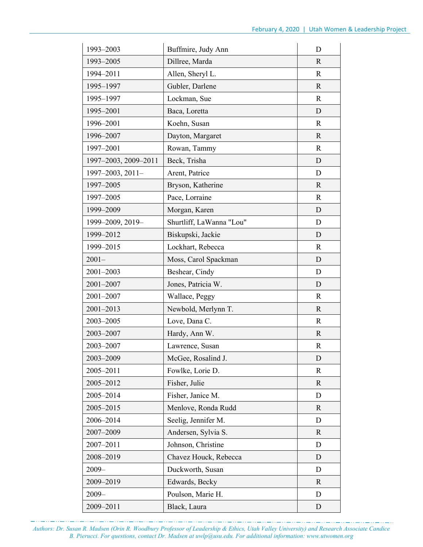| 1993-2003            | Buffmire, Judy Ann       | D            |
|----------------------|--------------------------|--------------|
| 1993-2005            | Dillree, Marda           | R            |
| 1994-2011            | Allen, Sheryl L.         | $\mathbf R$  |
| 1995-1997            | Gubler, Darlene          | $\mathbf{R}$ |
| 1995-1997            | Lockman, Sue             | $\mathbf R$  |
| 1995-2001            | Baca, Loretta            | D            |
| 1996-2001            | Koehn, Susan             | $\mathbf R$  |
| 1996-2007            | Dayton, Margaret         | $\mathbf{R}$ |
| 1997-2001            | Rowan, Tammy             | $\mathbf R$  |
| 1997-2003, 2009-2011 | Beck, Trisha             | D            |
| 1997-2003, 2011-     | Arent, Patrice           | D            |
| 1997-2005            | Bryson, Katherine        | $\mathbf{R}$ |
| 1997-2005            | Pace, Lorraine           | $\mathbf R$  |
| 1999-2009            | Morgan, Karen            | D            |
| 1999-2009, 2019-     | Shurtliff, LaWanna "Lou" | D            |
| 1999-2012            | Biskupski, Jackie        | D            |
| 1999-2015            | Lockhart, Rebecca        | $\mathbf R$  |
| $2001 -$             | Moss, Carol Spackman     | D            |
| 2001-2003            | Beshear, Cindy           | D            |
| 2001-2007            | Jones, Patricia W.       | D            |
| 2001-2007            | Wallace, Peggy           | $\mathbf R$  |
| 2001-2013            | Newbold, Merlynn T.      | R            |
| 2003-2005            | Love, Dana C.            | $\mathbf R$  |
| 2003-2007            | Hardy, Ann W.            | R            |
| 2003-2007            | Lawrence, Susan          | $\mathbf R$  |
| 2003-2009            | McGee, Rosalind J.       | D            |
| 2005-2011            | Fowlke, Lorie D.         | R            |
| 2005-2012            | Fisher, Julie            | $\mathbf{R}$ |
| 2005-2014            | Fisher, Janice M.        | D            |
| 2005-2015            | Menlove, Ronda Rudd      | R            |
| 2006-2014            | Seelig, Jennifer M.      | D            |
| 2007-2009            | Andersen, Sylvia S.      | $\mathbf{R}$ |
| 2007-2011            | Johnson, Christine       | D            |
| 2008-2019            | Chavez Houck, Rebecca    | D            |
| $2009 -$             | Duckworth, Susan         | D            |
| 2009-2019            | Edwards, Becky           | $\mathbf{R}$ |
| $2009 -$             | Poulson, Marie H.        | D            |
| 2009-2011            | Black, Laura             | D            |